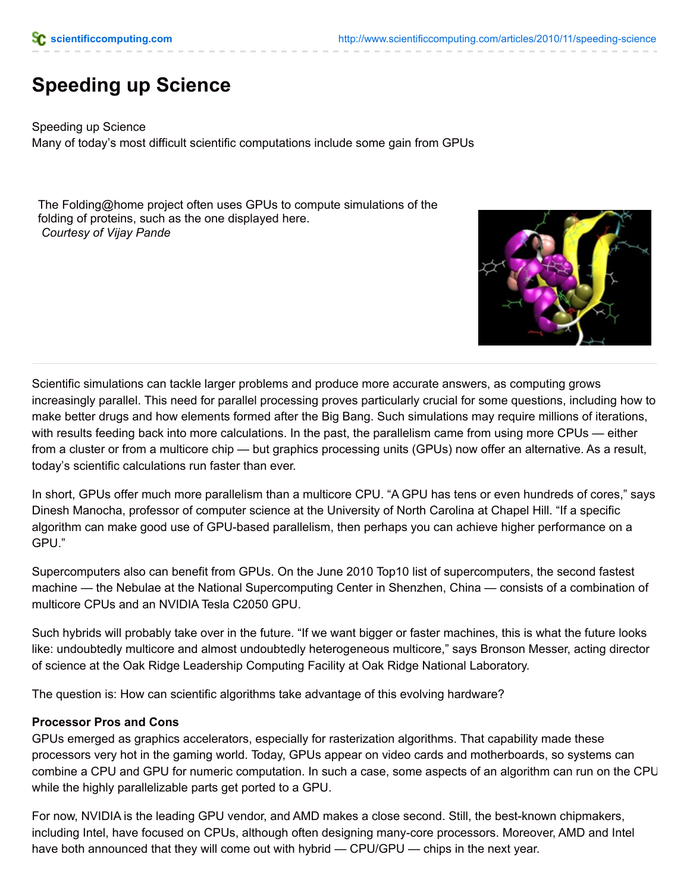# **Speeding up Science**

Speeding up Science Many of today's most difficult scientific computations include some gain from GPUs

The Folding@home project often uses GPUs to compute simulations of the folding of proteins, such as the one displayed here. *Courtesy of Vijay Pande*



Scientific simulations can tackle larger problems and produce more accurate answers, as computing grows increasingly parallel. This need for parallel processing proves particularly crucial for some questions, including how to make better drugs and how elements formed after the Big Bang. Such simulations may require millions of iterations, with results feeding back into more calculations. In the past, the parallelism came from using more CPUs — either from a cluster or from a multicore chip — but graphics processing units (GPUs) now offer an alternative. As a result, today's scientific calculations run faster than ever.

In short, GPUs offer much more parallelism than a multicore CPU. "A GPU has tens or even hundreds of cores," says Dinesh Manocha, professor of computer science at the University of North Carolina at Chapel Hill. "If a specific algorithm can make good use of GPU-based parallelism, then perhaps you can achieve higher performance on a GPU."

Supercomputers also can benefit from GPUs. On the June 2010 Top10 list of supercomputers, the second fastest machine — the Nebulae at the National Supercomputing Center in Shenzhen, China — consists of a combination of multicore CPUs and an NVIDIA Tesla C2050 GPU.

Such hybrids will probably take over in the future. "If we want bigger or faster machines, this is what the future looks like: undoubtedly multicore and almost undoubtedly heterogeneous multicore," says Bronson Messer, acting director of science at the Oak Ridge Leadership Computing Facility at Oak Ridge National Laboratory.

The question is: How can scientific algorithms take advantage of this evolving hardware?

### **Processor Pros and Cons**

GPUs emerged as graphics accelerators, especially for rasterization algorithms. That capability made these processors very hot in the gaming world. Today, GPUs appear on video cards and motherboards, so systems can combine a CPU and GPU for numeric computation. In such a case, some aspects of an algorithm can run on the CPU while the highly parallelizable parts get ported to a GPU.

For now, NVIDIA is the leading GPU vendor, and AMD makes a close second. Still, the best-known chipmakers, including Intel, have focused on CPUs, although often designing many-core processors. Moreover, AMD and Intel have both announced that they will come out with hybrid — CPU/GPU — chips in the next year.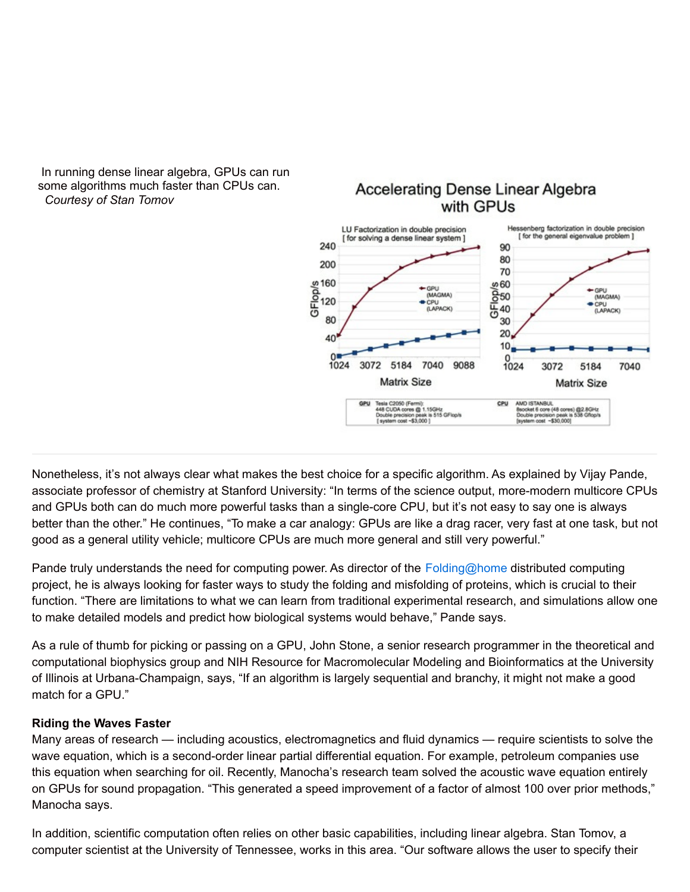In running dense linear algebra, GPUs can run some algorithms much faster than CPUs can. *Courtesy of Stan Tomov*

## **Accelerating Dense Linear Algebra** with GPUs



Nonetheless, it's not always clear what makes the best choice for a specific algorithm. As explained by Vijay Pande, associate professor of chemistry at Stanford University: "In terms of the science output, more-modern multicore CPUs and GPUs both can do much more powerful tasks than a single-core CPU, but it's not easy to say one is always better than the other." He continues, "To make a car analogy: GPUs are like a drag racer, very fast at one task, but not good as a general utility vehicle; multicore CPUs are much more general and still very powerful."

Pande truly understands the need for computing power. As director of the [Folding@home](mailto:Folding@home) distributed computing project, he is always looking for faster ways to study the folding and misfolding of proteins, which is crucial to their function. "There are limitations to what we can learn from traditional experimental research, and simulations allow one to make detailed models and predict how biological systems would behave," Pande says.

As a rule of thumb for picking or passing on a GPU, John Stone, a senior research programmer in the theoretical and computational biophysics group and NIH Resource for Macromolecular Modeling and Bioinformatics at the University of Illinois at Urbana-Champaign, says, "If an algorithm is largely sequential and branchy, it might not make a good match for a GPU."

## **Riding the Waves Faster**

Many areas of research — including acoustics, electromagnetics and fluid dynamics — require scientists to solve the wave equation, which is a second-order linear partial differential equation. For example, petroleum companies use this equation when searching for oil. Recently, Manocha's research team solved the acoustic wave equation entirely on GPUs for sound propagation. "This generated a speed improvement of a factor of almost 100 over prior methods," Manocha says.

In addition, scientific computation often relies on other basic capabilities, including linear algebra. Stan Tomov, a computer scientist at the University of Tennessee, works in this area. "Our software allows the user to specify their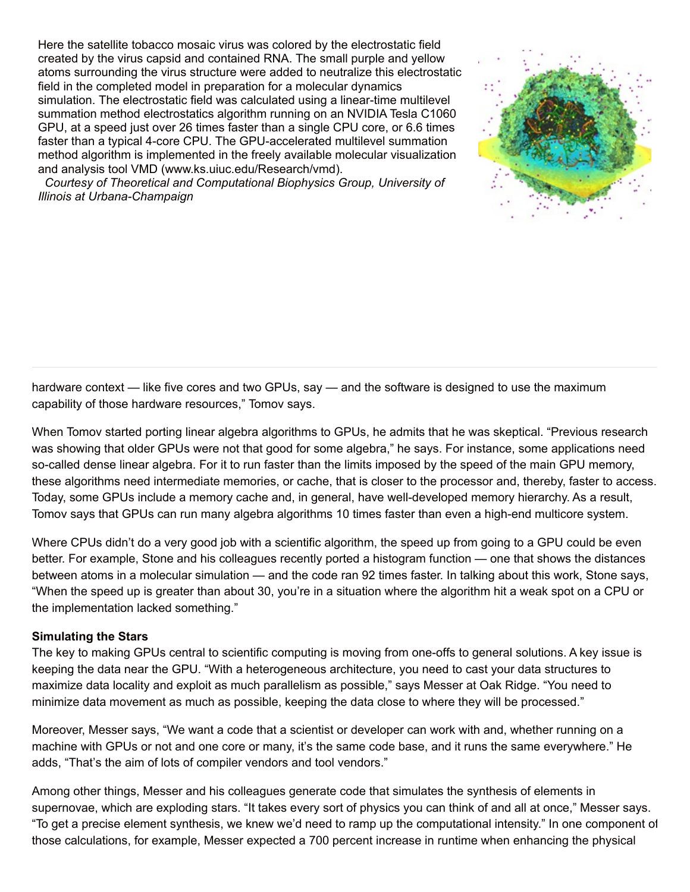Here the satellite tobacco mosaic virus was colored by the electrostatic field created by the virus capsid and contained RNA. The small purple and yellow atoms surrounding the virus structure were added to neutralize this electrostatic field in the completed model in preparation for a molecular dynamics simulation. The electrostatic field was calculated using a linear-time multilevel summation method electrostatics algorithm running on an NVIDIA Tesla C1060 GPU, at a speed just over 26 times faster than a single CPU core, or 6.6 times faster than a typical 4-core CPU. The GPU-accelerated multilevel summation method algorithm is implemented in the freely available molecular visualization and analysis tool VMD (www.ks.uiuc.edu/Research/vmd).



*Courtesy of Theoretical and Computational Biophysics Group, University of Illinois at Urbana-Champaign*

hardware context — like five cores and two GPUs, say — and the software is designed to use the maximum capability of those hardware resources," Tomov says.

When Tomov started porting linear algebra algorithms to GPUs, he admits that he was skeptical. "Previous research was showing that older GPUs were not that good for some algebra," he says. For instance, some applications need so-called dense linear algebra. For it to run faster than the limits imposed by the speed of the main GPU memory, these algorithms need intermediate memories, or cache, that is closer to the processor and, thereby, faster to access. Today, some GPUs include a memory cache and, in general, have well-developed memory hierarchy. As a result, Tomov says that GPUs can run many algebra algorithms 10 times faster than even a high-end multicore system.

Where CPUs didn't do a very good job with a scientific algorithm, the speed up from going to a GPU could be even better. For example, Stone and his colleagues recently ported a histogram function — one that shows the distances between atoms in a molecular simulation — and the code ran 92 times faster. In talking about this work, Stone says, "When the speed up is greater than about 30, you're in a situation where the algorithm hit a weak spot on a CPU or the implementation lacked something."

### **Simulating the Stars**

The key to making GPUs central to scientific computing is moving from one-offs to general solutions. A key issue is keeping the data near the GPU. "With a heterogeneous architecture, you need to cast your data structures to maximize data locality and exploit as much parallelism as possible," says Messer at Oak Ridge. "You need to minimize data movement as much as possible, keeping the data close to where they will be processed."

Moreover, Messer says, "We want a code that a scientist or developer can work with and, whether running on a machine with GPUs or not and one core or many, it's the same code base, and it runs the same everywhere." He adds, "That's the aim of lots of compiler vendors and tool vendors."

Among other things, Messer and his colleagues generate code that simulates the synthesis of elements in supernovae, which are exploding stars. "It takes every sort of physics you can think of and all at once," Messer says. "To get a precise element synthesis, we knew we'd need to ramp up the computational intensity." In one component of those calculations, for example, Messer expected a 700 percent increase in runtime when enhancing the physical